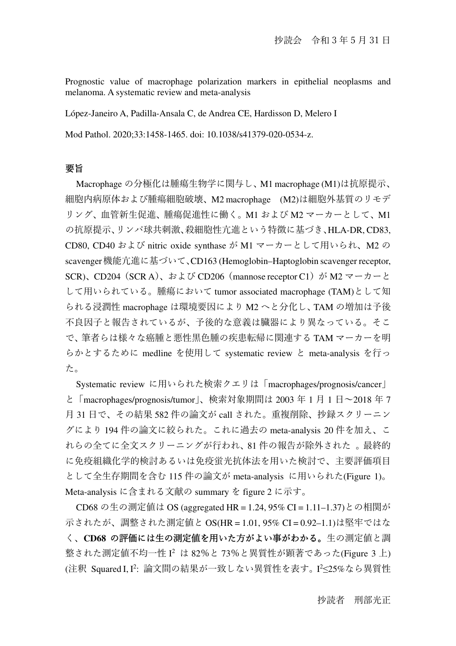Prognostic value of macrophage polarization markers in epithelial neoplasms and melanoma. A systematic review and meta-analysis

López-Janeiro A, Padilla-Ansala C, de Andrea CE, Hardisson D, Melero I

Mod Pathol. 2020;33:1458-1465. doi: 10.1038/s41379-020-0534-z.

### 要旨

Macrophage の分極化は腫瘍生物学に関与し、M1 macrophage (M1)は抗原提示、 細胞内病原体および腫瘍細胞破壊、M2 macrophage (M2)は細胞外基質のリモデ リング、血管新生促進、腫瘍促進性に働く。M1 および M2 マーカーとして、M1 の抗原提示、リンパ球共刺激、殺細胞性亢進という特徴に基づき、HLA-DR, CD83, CD80, CD40 および nitric oxide synthase が M1 マーカーとして用いられ、M2 の scavenger機能亢進に基づいて、CD163 (Hemoglobin–Haptoglobin scavenger receptor, SCR)、CD204 (SCR A)、および CD206 (mannose receptor C1) が M2 マーカーと して用いられている。腫瘍において tumor associated macrophage (TAM)として知 られる浸潤性 macrophage は環境要因により M2 へと分化し、TAM の増加は予後 不良因子と報告されているが、予後的な意義は臓器により異なっている。そこ で、筆者らは様々な癌腫と悪性⿊⾊腫の疾患転帰に関連する TAM マーカーを明 らかとするために medline を使用して systematic review と meta-analysis を行っ た。

Systematic review に用いられた検索クエリは「macrophages/prognosis/cancer」 と「macrophages/prognosis/tumor」、検索対象期間は 2003 年 1 月 1 日〜2018 年 7 月 31 日で、その結果 582 件の論文が call された。重複削除、抄録スクリーニン グにより 194 件の論文に絞られた。これに過去の meta-analysis 20 件を加え、こ れらの全てに全文スクリーニングが行われ、81 件の報告が除外された 。最終的 に免疫組織化学的検討あるいは免疫蛍光抗体法を用いた検討で、主要評価項目 として全生存期間を含む 115 件の論文が meta-analysis に用いられた(Figure 1)。 Meta-analysis に含まれる文献の summary を figure 2 に示す。

CD68 の生の測定値は OS (aggregated HR = 1.24, 95% CI = 1.11–1.37)との相関が 示されたが、調整された測定値と OS(HR = 1.01, 95% CI = 0.92–1.1)は堅牢ではな く、**CD68** の評価には生の測定値を用いた方がよい事がわかる。生の測定値と調 整された測定値不均一性 I <sup>2</sup> は 82%と 73%と異質性が顕著であった(Figure 3 上) (注釈 Squared I,I²: 論文間の結果が一致しない異質性を表す。 I<sup>2</sup>≤25%なら異質性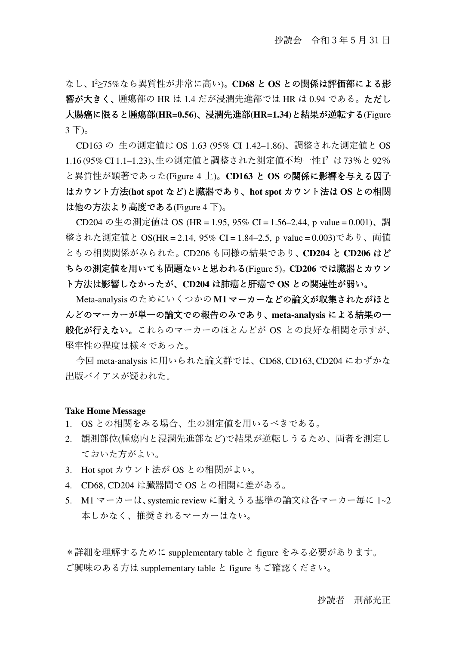なし、I <sup>2</sup>≥75%なら異質性が非常に高い)。**CD68** と **OS** との関係は評価部による影 響が大きく、腫瘍部の HR は 1.4 だが浸潤先進部では HR は 0.94 である。ただし 大腸癌に限ると腫瘍部**(HR=0.56)**、浸潤先進部**(HR=1.34)**と結果が逆転する(Figure 3 下)。

CD163 の 生の測定値は OS 1.63 (95% CI 1.42–1.86)、調整された測定値と OS 1.16 (95% CI 1.1–1.23)、生の測定値と調整された測定値不均一性I <sup>2</sup> は73%と92% と異質性が顕著であった(Figure 4 上)。**CD163** と **OS** の関係に影響を与える因子 はカウント方法**(hot spot** など**)**と臓器であり、**hot spot** カウント法は **OS** との相関 は他の方法より高度である(Figure 4 下)。

CD204 の生の測定値は OS (HR = 1.95, 95% CI = 1.56–2.44, p value = 0.001)、調 整された測定値と OS(HR = 2.14, 95% CI = 1.84–2.5, p value = 0.003)であり、両値 ともの相関関係がみられた。CD206 も同様の結果であり、**CD204** と **CD206** はど ちらの測定値を用いても問題ないと思われる(Figure 5)。**CD206** では臓器とカウン ト方法は影響しなかったが、**CD204** は肺癌と肝癌で **OS** との関連性が弱い。

Meta-analysis のためにいくつかの **M1** マーカーなどの論文が収集されたがほと んどのマーカーが単一の論文での報告のみであり、**meta-analysis** による結果の一 般化が行えない。これらのマーカーのほとんどが OS との良好な相関を示すが、 堅牢性の程度は様々であった。

今回 meta-analysis に用いられた論文群では、CD68, CD163, CD204 にわずかな 出版バイアスが疑われた。

#### **Take Home Message**

- 1. OS との相関をみる場合、生の測定値を用いるべきである。
- 2. 観測部位(腫瘍内と浸潤先進部など)で結果が逆転しうるため、両者を測定し ておいた方がよい。
- 3. Hot spot カウント法が OS との相関がよい。
- 4. CD68, CD204 は臓器間で OS との相関に差がある。
- 5. M1 マーカーは、systemic review に耐えうる基準の論文は各マーカー毎に 1~2 本しかなく、推奨されるマーカーはない。

\*詳細を理解するために supplementary table と figure をみる必要があります。 ご興味のある方は supplementary table と figure もご確認ください。

### 抄読者 刑部光正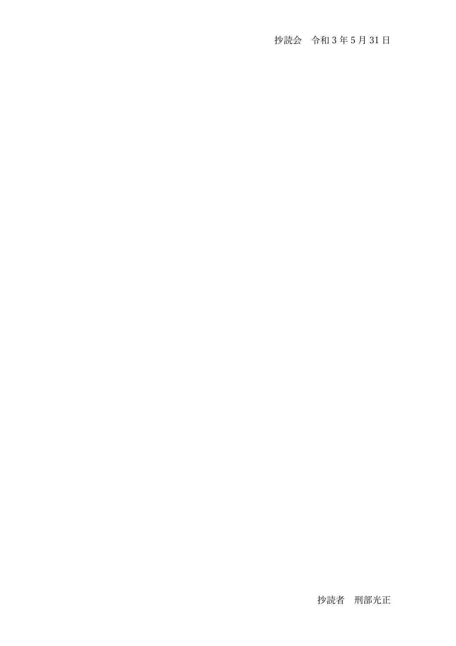# 抄読会 令和 3 年 5 月 31 日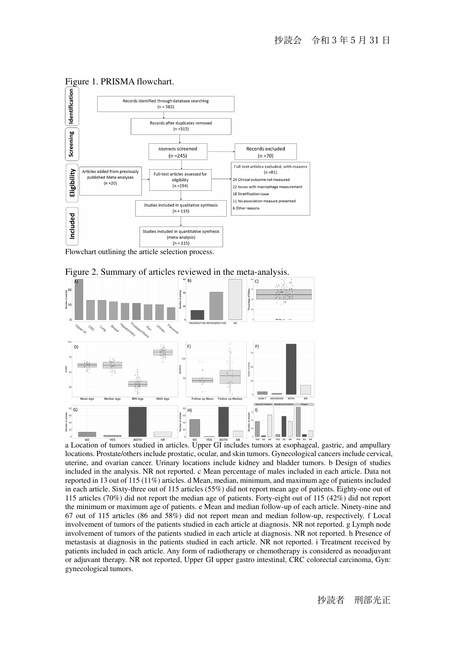

## Figure 1. PRISMA flowchart.

Flowchart outlining the article selection process.





a Location of tumors studied in articles. Upper GI includes tumors at esophageal, gastric, and ampullary locations. Prostate/others include prostatic, ocular, and skin tumors. Gynecological cancers include cervical, uterine, and ovarian cancer. Urinary locations include kidney and bladder tumors. b Design of studies included in the analysis. NR not reported. c Mean percentage of males included in each article. Data not reported in 13 out of 115 (11%) articles. d Mean, median, minimum, and maximum age of patients included in each article. Sixty-three out of 115 articles (55%) did not report mean age of patients. Eighty-one out of 115 articles (70%) did not report the median age of patients. Forty-eight out of 115 (42%) did not report the minimum or maximum age of patients. e Mean and median follow-up of each article. Ninety-nine and 67 out of 115 articles (86 and 58%) did not report mean and median follow-up, respectively. f Local involvement of tumors of the patients studied in each article at diagnosis. NR not reported. g Lymph node involvement of tumors of the patients studied in each article at diagnosis. NR not reported. h Presence of metastasis at diagnosis in the patients studied in each article. NR not reported. i Treatment received by patients included in each article. Any form of radiotherapy or chemotherapy is considered as neoadjuvant or adjuvant therapy. NR not reported, Upper GI upper gastro intestinal, CRC colorectal carcinoma, Gyn: gynecological tumors.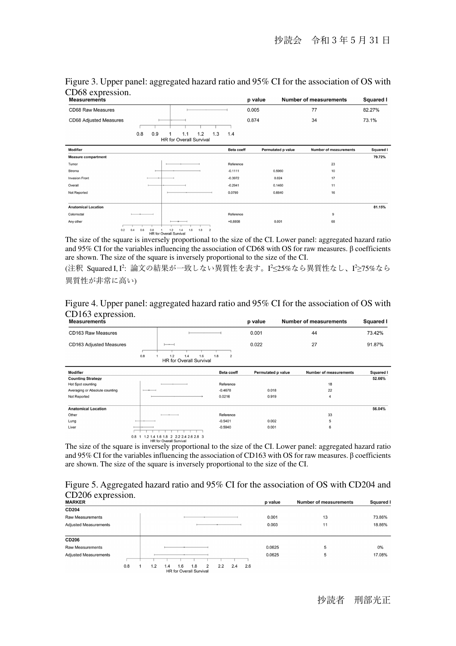| <b>Measurements</b>        |                                                                           |                                                     |                   | p value            | <b>Number of measurements</b> | Squared I |
|----------------------------|---------------------------------------------------------------------------|-----------------------------------------------------|-------------------|--------------------|-------------------------------|-----------|
| CD68 Raw Measures          |                                                                           |                                                     |                   | 0.005              | 77                            | 82.27%    |
| CD68 Adjusted Measures     |                                                                           |                                                     |                   | 0.874              | 34                            | 73.1%     |
|                            | 0.8<br>0.9                                                                | 1.3<br>1.2<br>1.1<br><b>HR for Overall Survival</b> | 1.4               |                    |                               |           |
| Modifier                   |                                                                           |                                                     | <b>Beta coeff</b> | Permutated p value | <b>Number of measurements</b> | Squared I |
| <b>Measure compartment</b> |                                                                           |                                                     |                   |                    |                               | 79.72%    |
| Tumor                      |                                                                           |                                                     | Reference         |                    | 23                            |           |
| Stroma                     |                                                                           |                                                     | $-0.1111$         | 0.5960             | 10                            |           |
| <b>Invasion Front</b>      |                                                                           |                                                     | $-0.3972$         | 0.024              | 17                            |           |
| Overall                    |                                                                           |                                                     | $-0.2941$         | 0.1460             | 11                            |           |
| Not Reported               |                                                                           |                                                     | 0.0790            | 0.6640             | 16                            |           |
| <b>Anatomical Location</b> |                                                                           |                                                     |                   |                    |                               | 81.15%    |
| Colorrectal                |                                                                           |                                                     | Reference         |                    | 9                             |           |
| Any other                  | 0.2<br>1.2<br>0.4<br>0.6<br>0.8<br>1.4<br><b>UD</b> for Overall Punisipal | 1.6<br>1.8<br>$\overline{2}$                        | $+0,8808$         | 0.001              | 68                            |           |

Figure 3. Upper panel: aggregated hazard ratio and 95% CI for the association of OS with CD68 expression.

The size of the square is inversely proportional to the size of the CI. Lower panel: aggregated hazard ratio and 95% CI for the variables influencing the association of CD68 with OS for raw measures. β coefficients are shown. The size of the square is inversely proportional to the size of the CI.

(注釈 Squared I,I²: 論文の結果が一致しない異質性を表す。I<del>′</del>≤25%なら異質性なし、I<sup>2</sup>≥75%なら 異質性が非常に高い)

Figure 4. Upper panel: aggregated hazard ratio and 95% CI for the association of OS with CD163 expression.

| <b>Measurements</b>            |     |                                                     |                       | p value            | <b>Number of measurements</b> | <b>Squared I</b> |
|--------------------------------|-----|-----------------------------------------------------|-----------------------|--------------------|-------------------------------|------------------|
| CD163 Raw Measures             |     |                                                     |                       | 0.001              | 44                            | 73.42%           |
| <b>CD163 Adjusted Measures</b> | 0.8 | 1.2<br>1.6<br>1.4<br><b>HR for Overall Survival</b> | 1.8<br>$\overline{2}$ | 0.022              | 27                            | 91.87%           |
| <b>Modifier</b>                |     |                                                     | <b>Beta coeff</b>     | Permutated p value | <b>Number of measurements</b> | Squared I        |
| <b>Counting Strategy</b>       |     |                                                     |                       |                    |                               | 52.66%           |
| Hot Spot counting              |     |                                                     | Reference             |                    | 18                            |                  |
| Averaging or Absolute counting | ___ |                                                     | $-0.4678$             | 0.018              | 22                            |                  |
| Not Reported                   |     |                                                     | 0.0216                | 0.919              | 4                             |                  |
| <b>Anatomical Location</b>     |     |                                                     |                       |                    |                               | 56.04%           |
| Other                          |     |                                                     | Reference             |                    | 33                            |                  |
| Lung                           |     |                                                     | $-0.5401$             | 0.002              | 5                             |                  |
| Liver                          |     |                                                     | $-0.5940$             | 0.001              | 6                             |                  |

<sup>0.8 1</sup> <sup>1.2 1.4 1.6 1.8</sup> <sup>2.2 2.4 2.6 2.8</sup> <sup>3</sup><br>The size of the CI. Lower panel: aggregated hazard ratio and 95% CI for the variables influencing the association of CD163 with OS for raw measures. β coefficients are shown. The size of the square is inversely proportional to the size of the CI.

### Figure 5. Aggregated hazard ratio and 95% CI for the association of OS with CD204 and CD206 expression.

| $CD200$ <i>expression.</i><br><b>MARKER</b> |     |     |                                              |                       |     |     |     | p value | <b>Number of measurements</b> | <b>Squared I</b> |
|---------------------------------------------|-----|-----|----------------------------------------------|-----------------------|-----|-----|-----|---------|-------------------------------|------------------|
| <b>CD204</b>                                |     |     |                                              |                       |     |     |     |         |                               |                  |
| Raw Measurements                            |     |     |                                              |                       |     |     |     | 0.001   | 13                            | 73.86%           |
| <b>Adjusted Measurements</b>                |     |     |                                              |                       |     |     |     | 0.003   | 11                            | 18.86%           |
| <b>CD206</b>                                |     |     |                                              |                       |     |     |     |         |                               |                  |
| <b>Raw Measurements</b>                     |     |     |                                              |                       |     |     |     | 0.0625  | 5                             | 0%               |
| <b>Adjusted Measurements</b>                |     |     |                                              |                       |     |     |     | 0.0625  | 5                             | 17.08%           |
|                                             | 0.8 | 1.2 | 1.6<br>1.4<br><b>HR</b> for Overall Survival | 1.8<br>$\overline{2}$ | 2.2 | 2.4 | 2.6 |         |                               |                  |